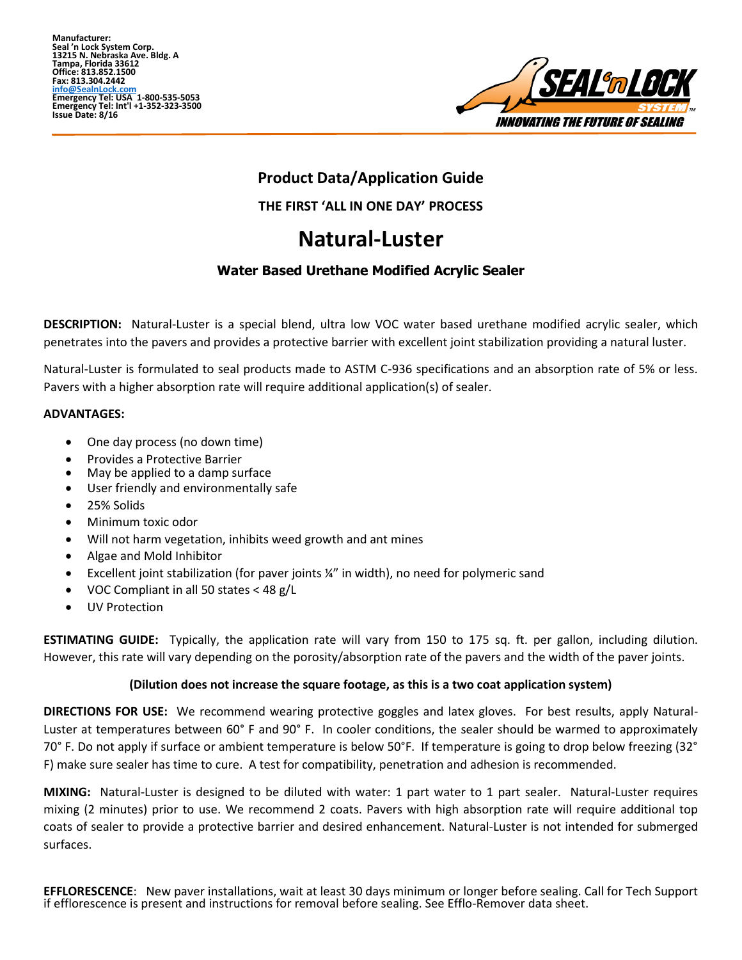**Manufacturer: Seal 'n Lock System Corp. 13215 N. Nebraska Ave. Bldg. A Tampa, Florida 33612 Office: 813.852.1500 Fax: 813.304.2442 info@SealnLock.com Emergency Tel: USA 1-800-535-5053 Emergency Tel: Int'l +1-352-323-3500 Issue Date: 8/16**



# **Product Data/Application Guide**

**THE FIRST 'ALL IN ONE DAY' PROCESS**

# **Natural-Luster**

## **Water Based Urethane Modified Acrylic Sealer**

**DESCRIPTION:** Natural-Luster is a special blend, ultra low VOC water based urethane modified acrylic sealer, which penetrates into the pavers and provides a protective barrier with excellent joint stabilization providing a natural luster.

Natural-Luster is formulated to seal products made to ASTM C-936 specifications and an absorption rate of 5% or less. Pavers with a higher absorption rate will require additional application(s) of sealer.

## **ADVANTAGES:**

- One day process (no down time)
- Provides a Protective Barrier
- May be applied to a damp surface
- User friendly and environmentally safe
- 25% Solids
- Minimum toxic odor
- Will not harm vegetation, inhibits weed growth and ant mines
- Algae and Mold Inhibitor
- Excellent joint stabilization (for paver joints ¼" in width), no need for polymeric sand
- VOC Compliant in all 50 states < 48 g/L
- UV Protection

**ESTIMATING GUIDE:** Typically, the application rate will vary from 150 to 175 sq. ft. per gallon, including dilution. However, this rate will vary depending on the porosity/absorption rate of the pavers and the width of the paver joints.

## **(Dilution does not increase the square footage, as this is a two coat application system)**

**DIRECTIONS FOR USE:** We recommend wearing protective goggles and latex gloves. For best results, apply Natural-Luster at temperatures between 60° F and 90° F. In cooler conditions, the sealer should be warmed to approximately 70° F. Do not apply if surface or ambient temperature is below 50°F. If temperature is going to drop below freezing (32° F) make sure sealer has time to cure. A test for compatibility, penetration and adhesion is recommended.

**MIXING:** Natural-Luster is designed to be diluted with water: 1 part water to 1 part sealer. Natural-Luster requires mixing (2 minutes) prior to use. We recommend 2 coats. Pavers with high absorption rate will require additional top coats of sealer to provide a protective barrier and desired enhancement. Natural-Luster is not intended for submerged surfaces.

**EFFLORESCENCE**: New paver installations, wait at least 30 days minimum or longer before sealing. Call for Tech Support if efflorescence is present and instructions for removal before sealing. See Efflo-Remover data sheet.